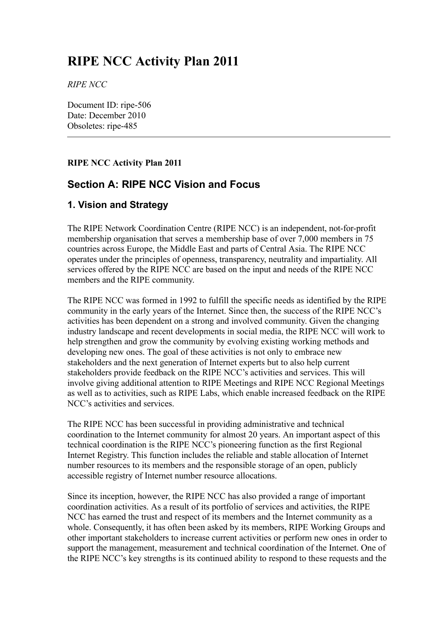# **RIPE NCC Activity Plan 2011**

*RIPE NCC*

Document ID: ripe-506 Date: December 2010 Obsoletes: ripe-485

## **RIPE NCC Activity Plan 2011**

# **Section A: RIPE NCC Vision and Focus**

# **1. Vision and Strategy**

The RIPE Network Coordination Centre (RIPE NCC) is an independent, not-for-profit membership organisation that serves a membership base of over 7,000 members in 75 countries across Europe, the Middle East and parts of Central Asia. The RIPE NCC operates under the principles of openness, transparency, neutrality and impartiality. All services offered by the RIPE NCC are based on the input and needs of the RIPE NCC members and the RIPE community.

The RIPE NCC was formed in 1992 to fulfill the specific needs as identified by the RIPE community in the early years of the Internet. Since then, the success of the RIPE NCC's activities has been dependent on a strong and involved community. Given the changing industry landscape and recent developments in social media, the RIPE NCC will work to help strengthen and grow the community by evolving existing working methods and developing new ones. The goal of these activities is not only to embrace new stakeholders and the next generation of Internet experts but to also help current stakeholders provide feedback on the RIPE NCC's activities and services. This will involve giving additional attention to RIPE Meetings and RIPE NCC Regional Meetings as well as to activities, such as RIPE Labs, which enable increased feedback on the RIPE NCC's activities and services.

The RIPE NCC has been successful in providing administrative and technical coordination to the Internet community for almost 20 years. An important aspect of this technical coordination is the RIPE NCC's pioneering function as the first Regional Internet Registry. This function includes the reliable and stable allocation of Internet number resources to its members and the responsible storage of an open, publicly accessible registry of Internet number resource allocations.

Since its inception, however, the RIPE NCC has also provided a range of important coordination activities. As a result of its portfolio of services and activities, the RIPE NCC has earned the trust and respect of its members and the Internet community as a whole. Consequently, it has often been asked by its members, RIPE Working Groups and other important stakeholders to increase current activities or perform new ones in order to support the management, measurement and technical coordination of the Internet. One of the RIPE NCC's key strengths is its continued ability to respond to these requests and the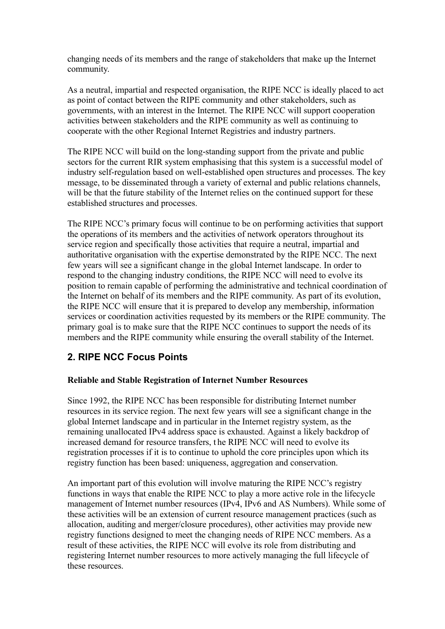changing needs of its members and the range of stakeholders that make up the Internet community.

As a neutral, impartial and respected organisation, the RIPE NCC is ideally placed to act as point of contact between the RIPE community and other stakeholders, such as governments, with an interest in the Internet. The RIPE NCC will support cooperation activities between stakeholders and the RIPE community as well as continuing to cooperate with the other Regional Internet Registries and industry partners.

The RIPE NCC will build on the long-standing support from the private and public sectors for the current RIR system emphasising that this system is a successful model of industry self-regulation based on well-established open structures and processes. The key message, to be disseminated through a variety of external and public relations channels, will be that the future stability of the Internet relies on the continued support for these established structures and processes.

The RIPE NCC's primary focus will continue to be on performing activities that support the operations of its members and the activities of network operators throughout its service region and specifically those activities that require a neutral, impartial and authoritative organisation with the expertise demonstrated by the RIPE NCC. The next few years will see a significant change in the global Internet landscape. In order to respond to the changing industry conditions, the RIPE NCC will need to evolve its position to remain capable of performing the administrative and technical coordination of the Internet on behalf of its members and the RIPE community. As part of its evolution, the RIPE NCC will ensure that it is prepared to develop any membership, information services or coordination activities requested by its members or the RIPE community. The primary goal is to make sure that the RIPE NCC continues to support the needs of its members and the RIPE community while ensuring the overall stability of the Internet.

# **2. RIPE NCC Focus Points**

## **Reliable and Stable Registration of Internet Number Resources**

Since 1992, the RIPE NCC has been responsible for distributing Internet number resources in its service region. The next few years will see a significant change in the global Internet landscape and in particular in the Internet registry system, as the remaining unallocated IPv4 address space is exhausted. Against a likely backdrop of increased demand for resource transfers, t he RIPE NCC will need to evolve its registration processes if it is to continue to uphold the core principles upon which its registry function has been based: uniqueness, aggregation and conservation.

An important part of this evolution will involve maturing the RIPE NCC's registry functions in ways that enable the RIPE NCC to play a more active role in the lifecycle management of Internet number resources (IPv4, IPv6 and AS Numbers). While some of these activities will be an extension of current resource management practices (such as allocation, auditing and merger/closure procedures), other activities may provide new registry functions designed to meet the changing needs of RIPE NCC members. As a result of these activities, the RIPE NCC will evolve its role from distributing and registering Internet number resources to more actively managing the full lifecycle of these resources.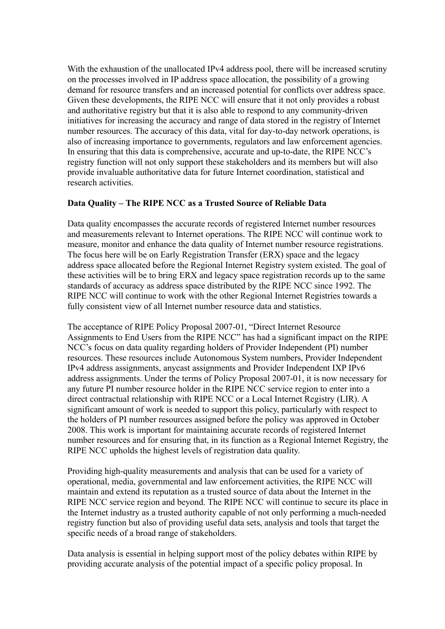With the exhaustion of the unallocated IPv4 address pool, there will be increased scrutiny on the processes involved in IP address space allocation, the possibility of a growing demand for resource transfers and an increased potential for conflicts over address space. Given these developments, the RIPE NCC will ensure that it not only provides a robust and authoritative registry but that it is also able to respond to any community-driven initiatives for increasing the accuracy and range of data stored in the registry of Internet number resources. The accuracy of this data, vital for day-to-day network operations, is also of increasing importance to governments, regulators and law enforcement agencies. In ensuring that this data is comprehensive, accurate and up-to-date, the RIPE NCC's registry function will not only support these stakeholders and its members but will also provide invaluable authoritative data for future Internet coordination, statistical and research activities.

## **Data Quality – The RIPE NCC as a Trusted Source of Reliable Data**

Data quality encompasses the accurate records of registered Internet number resources and measurements relevant to Internet operations. The RIPE NCC will continue work to measure, monitor and enhance the data quality of Internet number resource registrations. The focus here will be on Early Registration Transfer (ERX) space and the legacy address space allocated before the Regional Internet Registry system existed. The goal of these activities will be to bring ERX and legacy space registration records up to the same standards of accuracy as address space distributed by the RIPE NCC since 1992. The RIPE NCC will continue to work with the other Regional Internet Registries towards a fully consistent view of all Internet number resource data and statistics.

The acceptance of RIPE Policy Proposal 2007-01, "Direct Internet Resource Assignments to End Users from the RIPE NCC" has had a significant impact on the RIPE NCC's focus on data quality regarding holders of Provider Independent (PI) number resources. These resources include Autonomous System numbers, Provider Independent IPv4 address assignments, anycast assignments and Provider Independent IXP IPv6 address assignments. Under the terms of Policy Proposal 2007-01, it is now necessary for any future PI number resource holder in the RIPE NCC service region to enter into a direct contractual relationship with RIPE NCC or a Local Internet Registry (LIR). A significant amount of work is needed to support this policy, particularly with respect to the holders of PI number resources assigned before the policy was approved in October 2008. This work is important for maintaining accurate records of registered Internet number resources and for ensuring that, in its function as a Regional Internet Registry, the RIPE NCC upholds the highest levels of registration data quality.

Providing high-quality measurements and analysis that can be used for a variety of operational, media, governmental and law enforcement activities, the RIPE NCC will maintain and extend its reputation as a trusted source of data about the Internet in the RIPE NCC service region and beyond. The RIPE NCC will continue to secure its place in the Internet industry as a trusted authority capable of not only performing a much-needed registry function but also of providing useful data sets, analysis and tools that target the specific needs of a broad range of stakeholders.

Data analysis is essential in helping support most of the policy debates within RIPE by providing accurate analysis of the potential impact of a specific policy proposal. In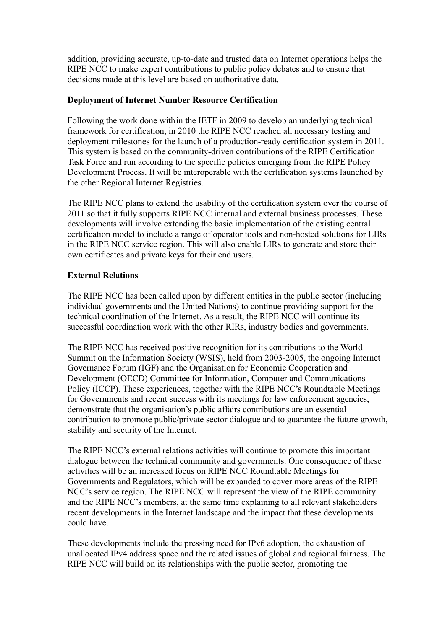addition, providing accurate, up-to-date and trusted data on Internet operations helps the RIPE NCC to make expert contributions to public policy debates and to ensure that decisions made at this level are based on authoritative data.

## **Deployment of Internet Number Resource Certification**

Following the work done within the IETF in 2009 to develop an underlying technical framework for certification, in 2010 the RIPE NCC reached all necessary testing and deployment milestones for the launch of a production-ready certification system in 2011. This system is based on the community-driven contributions of the RIPE Certification Task Force and run according to the specific policies emerging from the RIPE Policy Development Process. It will be interoperable with the certification systems launched by the other Regional Internet Registries.

The RIPE NCC plans to extend the usability of the certification system over the course of 2011 so that it fully supports RIPE NCC internal and external business processes. These developments will involve extending the basic implementation of the existing central certification model to include a range of operator tools and non-hosted solutions for LIRs in the RIPE NCC service region. This will also enable LIRs to generate and store their own certificates and private keys for their end users.

#### **External Relations**

The RIPE NCC has been called upon by different entities in the public sector (including individual governments and the United Nations) to continue providing support for the technical coordination of the Internet. As a result, the RIPE NCC will continue its successful coordination work with the other RIRs, industry bodies and governments.

The RIPE NCC has received positive recognition for its contributions to the World Summit on the Information Society (WSIS), held from 2003-2005, the ongoing Internet Governance Forum (IGF) and the Organisation for Economic Cooperation and Development (OECD) Committee for Information, Computer and Communications Policy (ICCP). These experiences, together with the RIPE NCC's Roundtable Meetings for Governments and recent success with its meetings for law enforcement agencies, demonstrate that the organisation's public affairs contributions are an essential contribution to promote public/private sector dialogue and to guarantee the future growth, stability and security of the Internet.

The RIPE NCC's external relations activities will continue to promote this important dialogue between the technical community and governments. One consequence of these activities will be an increased focus on RIPE NCC Roundtable Meetings for Governments and Regulators, which will be expanded to cover more areas of the RIPE NCC's service region. The RIPE NCC will represent the view of the RIPE community and the RIPE NCC's members, at the same time explaining to all relevant stakeholders recent developments in the Internet landscape and the impact that these developments could have.

These developments include the pressing need for IPv6 adoption, the exhaustion of unallocated IPv4 address space and the related issues of global and regional fairness. The RIPE NCC will build on its relationships with the public sector, promoting the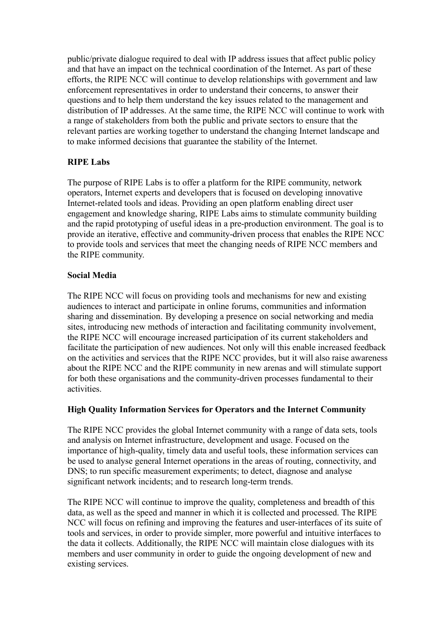public/private dialogue required to deal with IP address issues that affect public policy and that have an impact on the technical coordination of the Internet. As part of these efforts, the RIPE NCC will continue to develop relationships with government and law enforcement representatives in order to understand their concerns, to answer their questions and to help them understand the key issues related to the management and distribution of IP addresses. At the same time, the RIPE NCC will continue to work with a range of stakeholders from both the public and private sectors to ensure that the relevant parties are working together to understand the changing Internet landscape and to make informed decisions that guarantee the stability of the Internet.

# **RIPE Labs**

The purpose of RIPE Labs is to offer a platform for the RIPE community, network operators, Internet experts and developers that is focused on developing innovative Internet-related tools and ideas. Providing an open platform enabling direct user engagement and knowledge sharing, RIPE Labs aims to stimulate community building and the rapid prototyping of useful ideas in a pre-production environment. The goal is to provide an iterative, effective and community-driven process that enables the RIPE NCC to provide tools and services that meet the changing needs of RIPE NCC members and the RIPE community.

# **Social Media**

The RIPE NCC will focus on providing tools and mechanisms for new and existing audiences to interact and participate in online forums, communities and information sharing and dissemination. By developing a presence on social networking and media sites, introducing new methods of interaction and facilitating community involvement, the RIPE NCC will encourage increased participation of its current stakeholders and facilitate the participation of new audiences. Not only will this enable increased feedback on the activities and services that the RIPE NCC provides, but it will also raise awareness about the RIPE NCC and the RIPE community in new arenas and will stimulate support for both these organisations and the community-driven processes fundamental to their activities.

# **High Quality Information Services for Operators and the Internet Community**

The RIPE NCC provides the global Internet community with a range of data sets, tools and analysis on Internet infrastructure, development and usage. Focused on the importance of high-quality, timely data and useful tools, these information services can be used to analyse general Internet operations in the areas of routing, connectivity, and DNS; to run specific measurement experiments; to detect, diagnose and analyse significant network incidents; and to research long-term trends.

The RIPE NCC will continue to improve the quality, completeness and breadth of this data, as well as the speed and manner in which it is collected and processed. The RIPE NCC will focus on refining and improving the features and user-interfaces of its suite of tools and services, in order to provide simpler, more powerful and intuitive interfaces to the data it collects. Additionally, the RIPE NCC will maintain close dialogues with its members and user community in order to guide the ongoing development of new and existing services.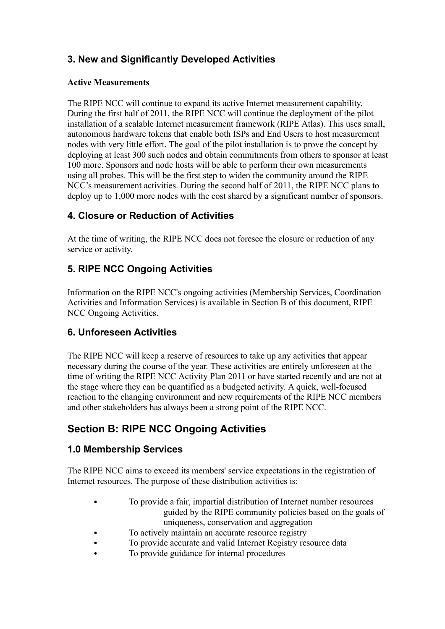# **3. New and Significantly Developed Activities**

# **Active Measurements**

The RIPE NCC will continue to expand its active Internet measurement capability. During the first half of 2011, the RIPE NCC will continue the deployment of the pilot installation of a scalable Internet measurement framework (RIPE Atlas). This uses small, autonomous hardware tokens that enable both ISPs and End Users to host measurement nodes with very little effort. The goal of the pilot installation is to prove the concept by deploying at least 300 such nodes and obtain commitments from others to sponsor at least 100 more. Sponsors and node hosts will be able to perform their own measurements using all probes. This will be the first step to widen the community around the RIPE NCC's measurement activities. During the second half of 2011, the RIPE NCC plans to deploy up to 1,000 more nodes with the cost shared by a significant number of sponsors.

# **4. Closure or Reduction of Activities**

At the time of writing, the RIPE NCC does not foresee the closure or reduction of any service or activity.

# **5. RIPE NCC Ongoing Activities**

Information on the RIPE NCC's ongoing activities (Membership Services, Coordination Activities and Information Services) is available in Section B of this document, RIPE NCC Ongoing Activities.

# **6. Unforeseen Activities**

The RIPE NCC will keep a reserve of resources to take up any activities that appear necessary during the course of the year. These activities are entirely unforeseen at the time of writing the RIPE NCC Activity Plan 2011 or have started recently and are not at the stage where they can be quantified as a budgeted activity. A quick, well-focused reaction to the changing environment and new requirements of the RIPE NCC members and other stakeholders has always been a strong point of the RIPE NCC.

# **Section B: RIPE NCC Ongoing Activities**

# **1.0 Membership Services**

The RIPE NCC aims to exceed its members' service expectations in the registration of Internet resources. The purpose of these distribution activities is:

- To provide a fair, impartial distribution of Internet number resources guided by the RIPE community policies based on the goals of uniqueness, conservation and aggregation
- To actively maintain an accurate resource registry
- To provide accurate and valid Internet Registry resource data
- To provide guidance for internal procedures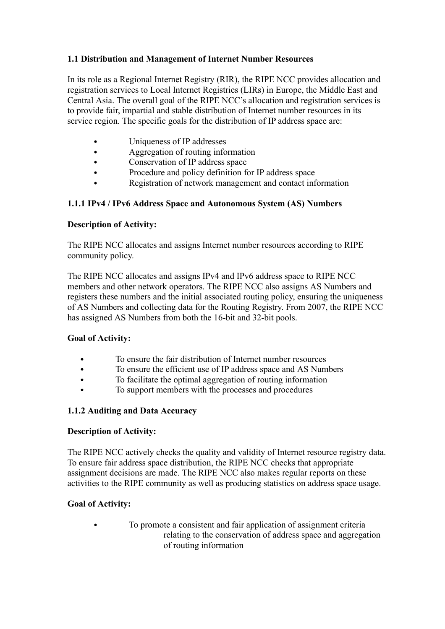# **1.1 Distribution and Management of Internet Number Resources**

In its role as a Regional Internet Registry (RIR), the RIPE NCC provides allocation and registration services to Local Internet Registries (LIRs) in Europe, the Middle East and Central Asia. The overall goal of the RIPE NCC's allocation and registration services is to provide fair, impartial and stable distribution of Internet number resources in its service region. The specific goals for the distribution of IP address space are:

- Uniqueness of IP addresses
- Aggregation of routing information
- Conservation of IP address space
- Procedure and policy definition for IP address space
- Registration of network management and contact information

# **1.1.1 IPv4 / IPv6 Address Space and Autonomous System (AS) Numbers**

## **Description of Activity:**

The RIPE NCC allocates and assigns Internet number resources according to RIPE community policy.

The RIPE NCC allocates and assigns IPv4 and IPv6 address space to RIPE NCC members and other network operators. The RIPE NCC also assigns AS Numbers and registers these numbers and the initial associated routing policy, ensuring the uniqueness of AS Numbers and collecting data for the Routing Registry. From 2007, the RIPE NCC has assigned AS Numbers from both the 16-bit and 32-bit pools.

## **Goal of Activity:**

- To ensure the fair distribution of Internet number resources
- To ensure the efficient use of IP address space and AS Numbers
- To facilitate the optimal aggregation of routing information
- To support members with the processes and procedures

# **1.1.2 Auditing and Data Accuracy**

## **Description of Activity:**

The RIPE NCC actively checks the quality and validity of Internet resource registry data. To ensure fair address space distribution, the RIPE NCC checks that appropriate assignment decisions are made. The RIPE NCC also makes regular reports on these activities to the RIPE community as well as producing statistics on address space usage.

## **Goal of Activity:**

 To promote a consistent and fair application of assignment criteria relating to the conservation of address space and aggregation of routing information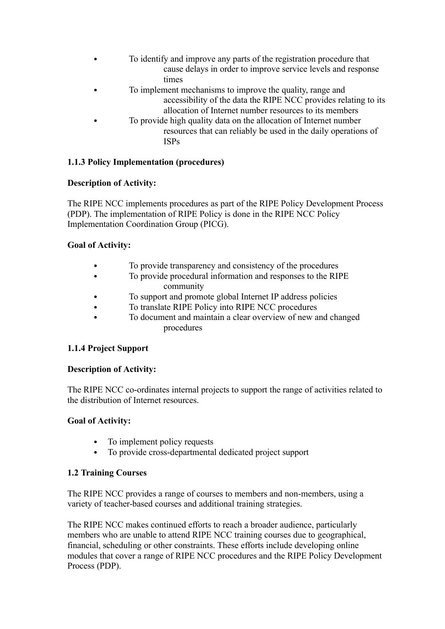- To identify and improve any parts of the registration procedure that cause delays in order to improve service levels and response times
- To implement mechanisms to improve the quality, range and accessibility of the data the RIPE NCC provides relating to its allocation of Internet number resources to its members
- To provide high quality data on the allocation of Internet number resources that can reliably be used in the daily operations of ISPs

# **1.1.3 Policy Implementation (procedures)**

# **Description of Activity:**

The RIPE NCC implements procedures as part of the RIPE Policy Development Process (PDP). The implementation of RIPE Policy is done in the RIPE NCC Policy Implementation Coordination Group (PICG).

# **Goal of Activity:**

- To provide transparency and consistency of the procedures
	- To provide procedural information and responses to the RIPE community
- To support and promote global Internet IP address policies
- To translate RIPE Policy into RIPE NCC procedures
- To document and maintain a clear overview of new and changed procedures

# **1.1.4 Project Support**

## **Description of Activity:**

The RIPE NCC co-ordinates internal projects to support the range of activities related to the distribution of Internet resources.

## **Goal of Activity:**

- To implement policy requests
- To provide cross-departmental dedicated project support

# **1.2 Training Courses**

The RIPE NCC provides a range of courses to members and non-members, using a variety of teacher-based courses and additional training strategies.

The RIPE NCC makes continued efforts to reach a broader audience, particularly members who are unable to attend RIPE NCC training courses due to geographical, financial, scheduling or other constraints. These efforts include developing online modules that cover a range of RIPE NCC procedures and the RIPE Policy Development Process (PDP).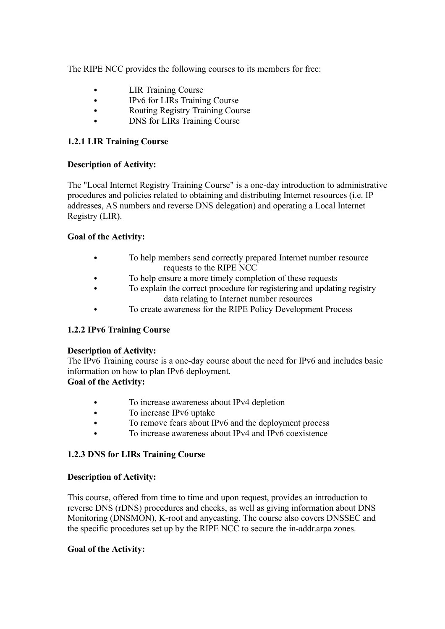The RIPE NCC provides the following courses to its members for free:

- LIR Training Course
- IPv6 for LIRs Training Course
- Routing Registry Training Course
- DNS for LIRs Training Course

# **1.2.1 LIR Training Course**

# **Description of Activity:**

The "Local Internet Registry Training Course" is a one-day introduction to administrative procedures and policies related to obtaining and distributing Internet resources (i.e. IP addresses, AS numbers and reverse DNS delegation) and operating a Local Internet Registry (LIR).

# **Goal of the Activity:**

- To help members send correctly prepared Internet number resource requests to the RIPE NCC
- To help ensure a more timely completion of these requests
- To explain the correct procedure for registering and updating registry data relating to Internet number resources
- To create awareness for the RIPE Policy Development Process

# **1.2.2 IPv6 Training Course**

## **Description of Activity:**

The IPv6 Training course is a one-day course about the need for IPv6 and includes basic information on how to plan IPv6 deployment.

## **Goal of the Activity:**

- To increase awareness about IPv4 depletion
- To increase IPv6 uptake
- To remove fears about IPv6 and the deployment process
- To increase awareness about IPv4 and IPv6 coexistence

# **1.2.3 DNS for LIRs Training Course**

## **Description of Activity:**

This course, offered from time to time and upon request, provides an introduction to reverse DNS (rDNS) procedures and checks, as well as giving information about DNS Monitoring (DNSMON), K-root and anycasting. The course also covers DNSSEC and the specific procedures set up by the RIPE NCC to secure the in-addr.arpa zones.

## **Goal of the Activity:**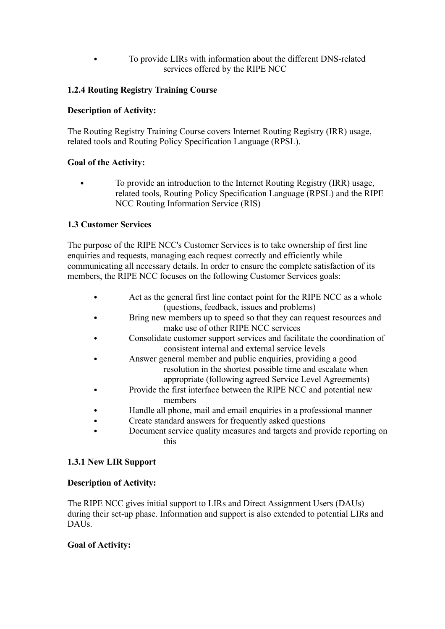To provide LIRs with information about the different DNS-related services offered by the RIPE NCC

# **1.2.4 Routing Registry Training Course**

# **Description of Activity:**

The Routing Registry Training Course covers Internet Routing Registry (IRR) usage, related tools and Routing Policy Specification Language (RPSL).

## **Goal of the Activity:**

 To provide an introduction to the Internet Routing Registry (IRR) usage, related tools, Routing Policy Specification Language (RPSL) and the RIPE NCC Routing Information Service (RIS)

# **1.3 Customer Services**

The purpose of the RIPE NCC's Customer Services is to take ownership of first line enquiries and requests, managing each request correctly and efficiently while communicating all necessary details. In order to ensure the complete satisfaction of its members, the RIPE NCC focuses on the following Customer Services goals:

- Act as the general first line contact point for the RIPE NCC as a whole (questions, feedback, issues and problems)
- Bring new members up to speed so that they can request resources and make use of other RIPE NCC services
- Consolidate customer support services and facilitate the coordination of consistent internal and external service levels
- Answer general member and public enquiries, providing a good resolution in the shortest possible time and escalate when appropriate (following agreed Service Level Agreements)
- Provide the first interface between the RIPE NCC and potential new members
- Handle all phone, mail and email enquiries in a professional manner
- Create standard answers for frequently asked questions
- Document service quality measures and targets and provide reporting on this

## **1.3.1 New LIR Support**

## **Description of Activity:**

The RIPE NCC gives initial support to LIRs and Direct Assignment Users (DAUs) during their set-up phase. Information and support is also extended to potential LIRs and DAUs.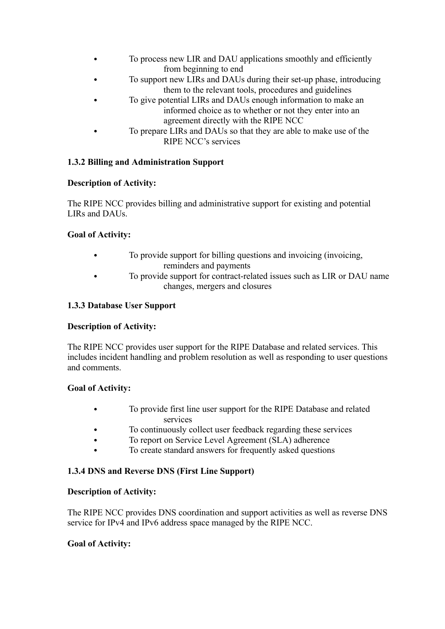- To process new LIR and DAU applications smoothly and efficiently from beginning to end
- To support new LIRs and DAUs during their set-up phase, introducing them to the relevant tools, procedures and guidelines
- To give potential LIRs and DAUs enough information to make an informed choice as to whether or not they enter into an agreement directly with the RIPE NCC
- To prepare LIRs and DAUs so that they are able to make use of the RIPE NCC's services

# **1.3.2 Billing and Administration Support**

# **Description of Activity:**

The RIPE NCC provides billing and administrative support for existing and potential LIRs and DAUs.

# **Goal of Activity:**

- To provide support for billing questions and invoicing (invoicing, reminders and payments
- To provide support for contract-related issues such as LIR or DAU name changes, mergers and closures

# **1.3.3 Database User Support**

## **Description of Activity:**

The RIPE NCC provides user support for the RIPE Database and related services. This includes incident handling and problem resolution as well as responding to user questions and comments.

## **Goal of Activity:**

- To provide first line user support for the RIPE Database and related services
- To continuously collect user feedback regarding these services
- To report on Service Level Agreement (SLA) adherence
- To create standard answers for frequently asked questions

## **1.3.4 DNS and Reverse DNS (First Line Support)**

## **Description of Activity:**

The RIPE NCC provides DNS coordination and support activities as well as reverse DNS service for IPv4 and IPv6 address space managed by the RIPE NCC.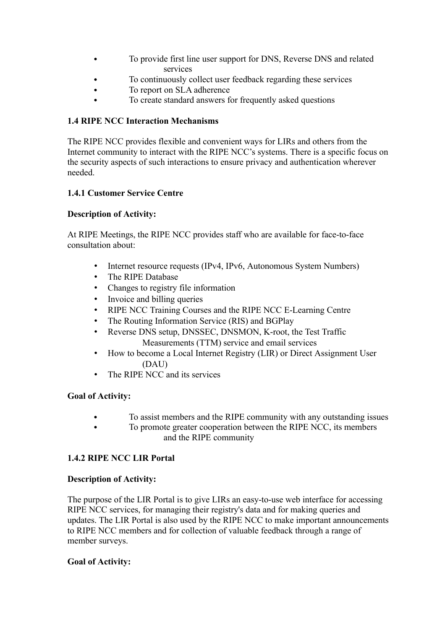- To provide first line user support for DNS, Reverse DNS and related services
- To continuously collect user feedback regarding these services
- To report on SLA adherence
- To create standard answers for frequently asked questions

#### **1.4 RIPE NCC Interaction Mechanisms**

The RIPE NCC provides flexible and convenient ways for LIRs and others from the Internet community to interact with the RIPE NCC's systems. There is a specific focus on the security aspects of such interactions to ensure privacy and authentication wherever needed.

#### **1.4.1 Customer Service Centre**

## **Description of Activity:**

At RIPE Meetings, the RIPE NCC provides staff who are available for face-to-face consultation about:

- Internet resource requests (IPv4, IPv6, Autonomous System Numbers)
- The RIPE Database
- Changes to registry file information
- Invoice and billing queries
- RIPE NCC Training Courses and the RIPE NCC E-Learning Centre
- The Routing Information Service (RIS) and BGPlay
- Reverse DNS setup, DNSSEC, DNSMON, K-root, the Test Traffic Measurements (TTM) service and email services
- How to become a Local Internet Registry (LIR) or Direct Assignment User (DAU)
- The RIPE NCC and its services

## **Goal of Activity:**

- To assist members and the RIPE community with any outstanding issues
- To promote greater cooperation between the RIPE NCC, its members and the RIPE community

## **1.4.2 RIPE NCC LIR Portal**

#### **Description of Activity:**

The purpose of the LIR Portal is to give LIRs an easy-to-use web interface for accessing RIPE NCC services, for managing their registry's data and for making queries and updates. The LIR Portal is also used by the RIPE NCC to make important announcements to RIPE NCC members and for collection of valuable feedback through a range of member surveys.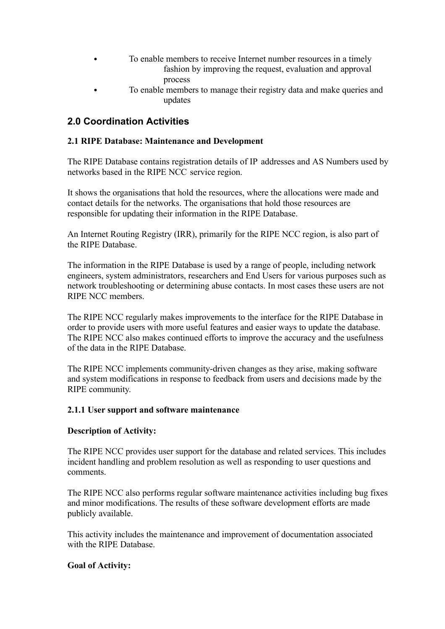- To enable members to receive Internet number resources in a timely fashion by improving the request, evaluation and approval process
- To enable members to manage their registry data and make queries and updates

# **2.0 Coordination Activities**

# **2.1 RIPE Database: Maintenance and Development**

The RIPE Database contains registration details of IP addresses and AS Numbers used by networks based in the RIPE NCC service region.

It shows the organisations that hold the resources, where the allocations were made and contact details for the networks. The organisations that hold those resources are responsible for updating their information in the RIPE Database.

An Internet Routing Registry (IRR), primarily for the RIPE NCC region, is also part of the RIPE Database.

The information in the RIPE Database is used by a range of people, including network engineers, system administrators, researchers and End Users for various purposes such as network troubleshooting or determining abuse contacts. In most cases these users are not RIPE NCC members.

The RIPE NCC regularly makes improvements to the interface for the RIPE Database in order to provide users with more useful features and easier ways to update the database. The RIPE NCC also makes continued efforts to improve the accuracy and the usefulness of the data in the RIPE Database.

The RIPE NCC implements community-driven changes as they arise, making software and system modifications in response to feedback from users and decisions made by the RIPE community.

## **2.1.1 User support and software maintenance**

#### **Description of Activity:**

The RIPE NCC provides user support for the database and related services. This includes incident handling and problem resolution as well as responding to user questions and comments.

The RIPE NCC also performs regular software maintenance activities including bug fixes and minor modifications. The results of these software development efforts are made publicly available.

This activity includes the maintenance and improvement of documentation associated with the RIPE Database.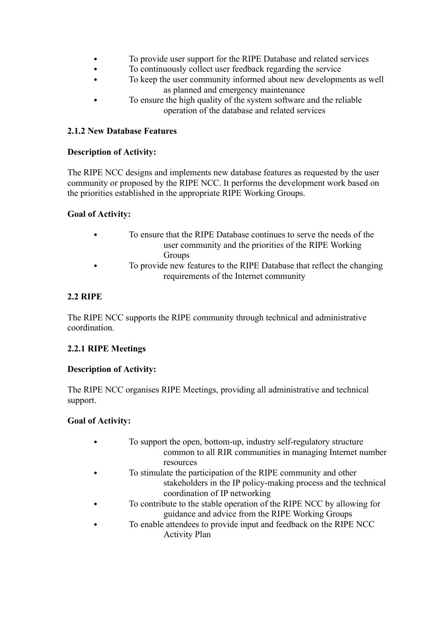- To provide user support for the RIPE Database and related services
- To continuously collect user feedback regarding the service
- To keep the user community informed about new developments as well as planned and emergency maintenance
- To ensure the high quality of the system software and the reliable operation of the database and related services

# **2.1.2 New Database Features**

# **Description of Activity:**

The RIPE NCC designs and implements new database features as requested by the user community or proposed by the RIPE NCC. It performs the development work based on the priorities established in the appropriate RIPE Working Groups.

# **Goal of Activity:**

- To ensure that the RIPE Database continues to serve the needs of the user community and the priorities of the RIPE Working Groups
- To provide new features to the RIPE Database that reflect the changing requirements of the Internet community

# **2.2 RIPE**

The RIPE NCC supports the RIPE community through technical and administrative coordination.

## **2.2.1 RIPE Meetings**

## **Description of Activity:**

The RIPE NCC organises RIPE Meetings, providing all administrative and technical support.

- To support the open, bottom-up, industry self-regulatory structure common to all RIR communities in managing Internet number resources To stimulate the participation of the RIPE community and other stakeholders in the IP policy-making process and the technical coordination of IP networking To contribute to the stable operation of the RIPE NCC by allowing for guidance and advice from the RIPE Working Groups To enable attendees to provide input and feedback on the RIPE NCC
	- Activity Plan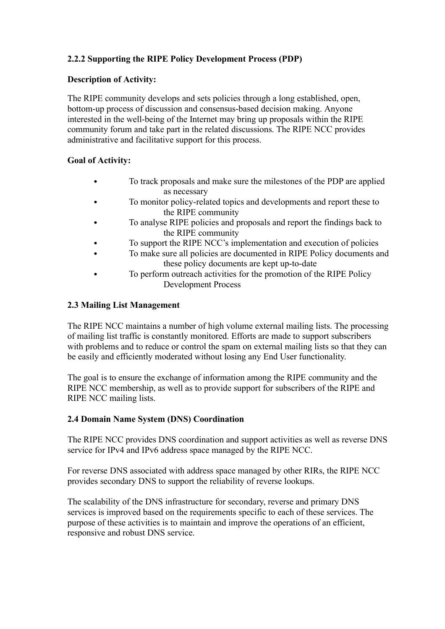# **2.2.2 Supporting the RIPE Policy Development Process (PDP)**

# **Description of Activity:**

The RIPE community develops and sets policies through a long established, open, bottom-up process of discussion and consensus-based decision making. Anyone interested in the well-being of the Internet may bring up proposals within the RIPE community forum and take part in the related discussions. The RIPE NCC provides administrative and facilitative support for this process.

# **Goal of Activity:**

- To track proposals and make sure the milestones of the PDP are applied as necessary
- To monitor policy-related topics and developments and report these to the RIPE community
- To analyse RIPE policies and proposals and report the findings back to the RIPE community
- To support the RIPE NCC's implementation and execution of policies
- To make sure all policies are documented in RIPE Policy documents and these policy documents are kept up-to-date
- To perform outreach activities for the promotion of the RIPE Policy Development Process

# **2.3 Mailing List Management**

The RIPE NCC maintains a number of high volume external mailing lists. The processing of mailing list traffic is constantly monitored. Efforts are made to support subscribers with problems and to reduce or control the spam on external mailing lists so that they can be easily and efficiently moderated without losing any End User functionality.

The goal is to ensure the exchange of information among the RIPE community and the RIPE NCC membership, as well as to provide support for subscribers of the RIPE and RIPE NCC mailing lists.

## **2.4 Domain Name System (DNS) Coordination**

The RIPE NCC provides DNS coordination and support activities as well as reverse DNS service for IPv4 and IPv6 address space managed by the RIPE NCC.

For reverse DNS associated with address space managed by other RIRs, the RIPE NCC provides secondary DNS to support the reliability of reverse lookups.

The scalability of the DNS infrastructure for secondary, reverse and primary DNS services is improved based on the requirements specific to each of these services. The purpose of these activities is to maintain and improve the operations of an efficient, responsive and robust DNS service.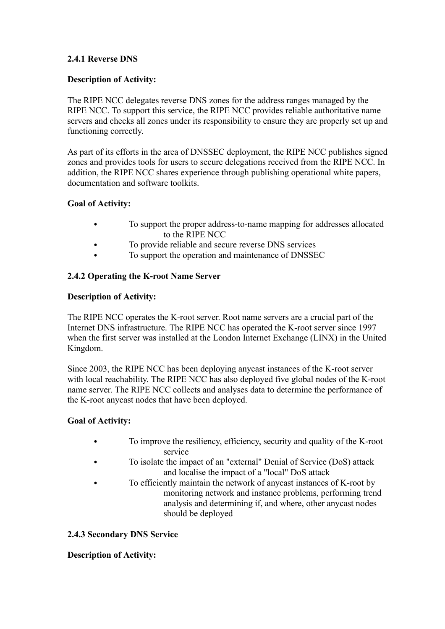## **2.4.1 Reverse DNS**

## **Description of Activity:**

The RIPE NCC delegates reverse DNS zones for the address ranges managed by the RIPE NCC. To support this service, the RIPE NCC provides reliable authoritative name servers and checks all zones under its responsibility to ensure they are properly set up and functioning correctly.

As part of its efforts in the area of DNSSEC deployment, the RIPE NCC publishes signed zones and provides tools for users to secure delegations received from the RIPE NCC. In addition, the RIPE NCC shares experience through publishing operational white papers, documentation and software toolkits.

#### **Goal of Activity:**

- To support the proper address-to-name mapping for addresses allocated to the RIPE NCC
- To provide reliable and secure reverse DNS services
- To support the operation and maintenance of DNSSEC

## **2.4.2 Operating the K-root Name Server**

## **Description of Activity:**

The RIPE NCC operates the K-root server. Root name servers are a crucial part of the Internet DNS infrastructure. The RIPE NCC has operated the K-root server since 1997 when the first server was installed at the London Internet Exchange (LINX) in the United Kingdom.

Since 2003, the RIPE NCC has been deploying anycast instances of the K-root server with local reachability. The RIPE NCC has also deployed five global nodes of the K-root name server. The RIPE NCC collects and analyses data to determine the performance of the K-root anycast nodes that have been deployed.

## **Goal of Activity:**

- To improve the resiliency, efficiency, security and quality of the K-root service
- To isolate the impact of an "external" Denial of Service (DoS) attack and localise the impact of a "local" DoS attack
- To efficiently maintain the network of anycast instances of K-root by monitoring network and instance problems, performing trend analysis and determining if, and where, other anycast nodes should be deployed

## **2.4.3 Secondary DNS Service**

#### **Description of Activity:**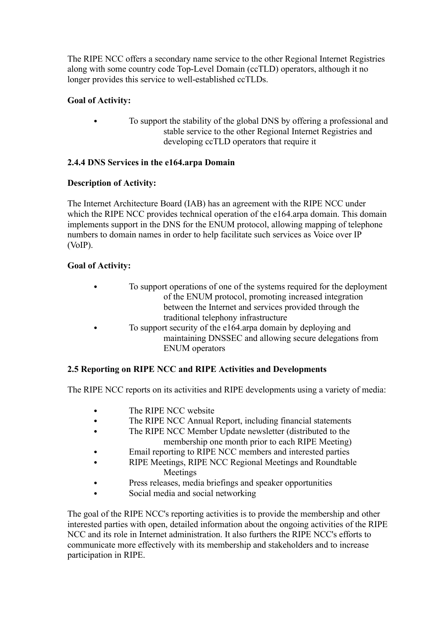The RIPE NCC offers a secondary name service to the other Regional Internet Registries along with some country code Top-Level Domain (ccTLD) operators, although it no longer provides this service to well-established ccTLDs.

# **Goal of Activity:**

 To support the stability of the global DNS by offering a professional and stable service to the other Regional Internet Registries and developing ccTLD operators that require it

# **2.4.4 DNS Services in the e164.arpa Domain**

# **Description of Activity:**

The Internet Architecture Board (IAB) has an agreement with the RIPE NCC under which the RIPE NCC provides technical operation of the e164.arpa domain. This domain implements support in the DNS for the ENUM protocol, allowing mapping of telephone numbers to domain names in order to help facilitate such services as Voice over IP (VoIP).

# **Goal of Activity:**

- To support operations of one of the systems required for the deployment of the ENUM protocol, promoting increased integration between the Internet and services provided through the traditional telephony infrastructure
- To support security of the e164.arpa domain by deploying and maintaining DNSSEC and allowing secure delegations from ENUM operators

# **2.5 Reporting on RIPE NCC and RIPE Activities and Developments**

The RIPE NCC reports on its activities and RIPE developments using a variety of media:

- The RIPE NCC website
- The RIPE NCC Annual Report, including financial statements
- The RIPE NCC Member Update newsletter (distributed to the membership one month prior to each RIPE Meeting)
- Email reporting to RIPE NCC members and interested parties
- RIPE Meetings, RIPE NCC Regional Meetings and Roundtable Meetings
- Press releases, media briefings and speaker opportunities
- Social media and social networking

The goal of the RIPE NCC's reporting activities is to provide the membership and other interested parties with open, detailed information about the ongoing activities of the RIPE NCC and its role in Internet administration. It also furthers the RIPE NCC's efforts to communicate more effectively with its membership and stakeholders and to increase participation in RIPE.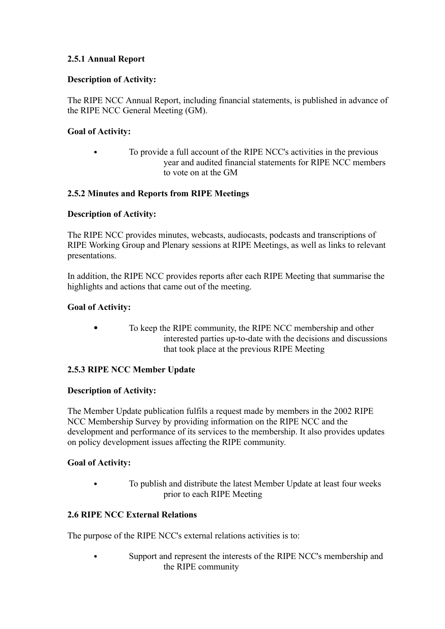# **2.5.1 Annual Report**

# **Description of Activity:**

The RIPE NCC Annual Report, including financial statements, is published in advance of the RIPE NCC General Meeting (GM).

# **Goal of Activity:**

 To provide a full account of the RIPE NCC's activities in the previous year and audited financial statements for RIPE NCC members to vote on at the GM

# **2.5.2 Minutes and Reports from RIPE Meetings**

## **Description of Activity:**

The RIPE NCC provides minutes, webcasts, audiocasts, podcasts and transcriptions of RIPE Working Group and Plenary sessions at RIPE Meetings, as well as links to relevant presentations.

In addition, the RIPE NCC provides reports after each RIPE Meeting that summarise the highlights and actions that came out of the meeting.

## **Goal of Activity:**

 To keep the RIPE community, the RIPE NCC membership and other interested parties up-to-date with the decisions and discussions that took place at the previous RIPE Meeting

## **2.5.3 RIPE NCC Member Update**

## **Description of Activity:**

The Member Update publication fulfils a request made by members in the 2002 RIPE NCC Membership Survey by providing information on the RIPE NCC and the development and performance of its services to the membership. It also provides updates on policy development issues affecting the RIPE community.

## **Goal of Activity:**

 To publish and distribute the latest Member Update at least four weeks prior to each RIPE Meeting

## **2.6 RIPE NCC External Relations**

The purpose of the RIPE NCC's external relations activities is to:

 Support and represent the interests of the RIPE NCC's membership and the RIPE community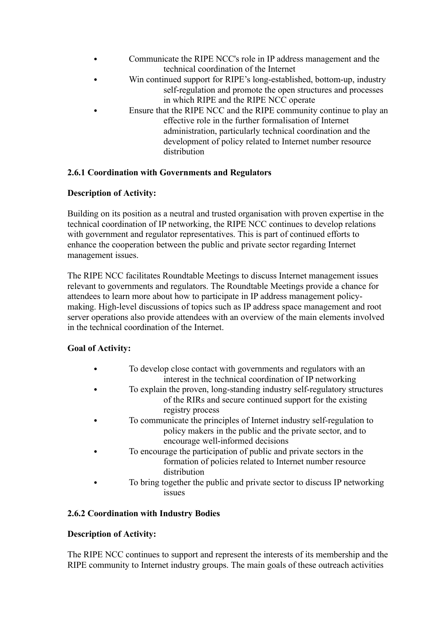- Communicate the RIPE NCC's role in IP address management and the technical coordination of the Internet
- Win continued support for RIPE's long-established, bottom-up, industry self-regulation and promote the open structures and processes in which RIPE and the RIPE NCC operate
- Ensure that the RIPE NCC and the RIPE community continue to play an effective role in the further formalisation of Internet administration, particularly technical coordination and the development of policy related to Internet number resource distribution

# **2.6.1 Coordination with Governments and Regulators**

## **Description of Activity:**

Building on its position as a neutral and trusted organisation with proven expertise in the technical coordination of IP networking, the RIPE NCC continues to develop relations with government and regulator representatives. This is part of continued efforts to enhance the cooperation between the public and private sector regarding Internet management issues.

The RIPE NCC facilitates Roundtable Meetings to discuss Internet management issues relevant to governments and regulators. The Roundtable Meetings provide a chance for attendees to learn more about how to participate in IP address management policymaking. High-level discussions of topics such as IP address space management and root server operations also provide attendees with an overview of the main elements involved in the technical coordination of the Internet.

# **Goal of Activity:**

- To develop close contact with governments and regulators with an interest in the technical coordination of IP networking
- To explain the proven, long-standing industry self-regulatory structures of the RIRs and secure continued support for the existing registry process
- To communicate the principles of Internet industry self-regulation to policy makers in the public and the private sector, and to encourage well-informed decisions
- To encourage the participation of public and private sectors in the formation of policies related to Internet number resource distribution
- To bring together the public and private sector to discuss IP networking issues

# **2.6.2 Coordination with Industry Bodies**

## **Description of Activity:**

The RIPE NCC continues to support and represent the interests of its membership and the RIPE community to Internet industry groups. The main goals of these outreach activities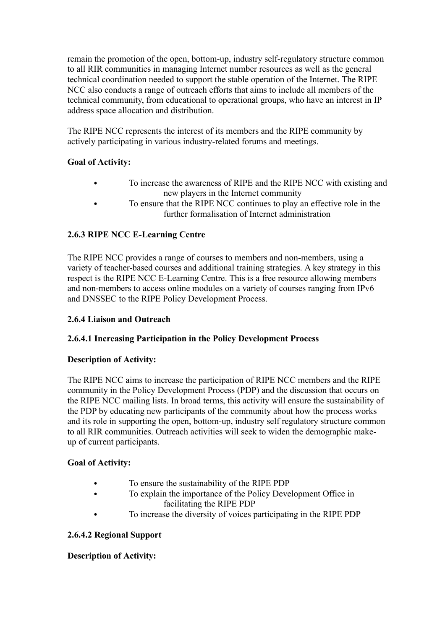remain the promotion of the open, bottom-up, industry self-regulatory structure common to all RIR communities in managing Internet number resources as well as the general technical coordination needed to support the stable operation of the Internet. The RIPE NCC also conducts a range of outreach efforts that aims to include all members of the technical community, from educational to operational groups, who have an interest in IP address space allocation and distribution.

The RIPE NCC represents the interest of its members and the RIPE community by actively participating in various industry-related forums and meetings.

# **Goal of Activity:**

- To increase the awareness of RIPE and the RIPE NCC with existing and new players in the Internet community
- To ensure that the RIPE NCC continues to play an effective role in the further formalisation of Internet administration

# **2.6.3 RIPE NCC E-Learning Centre**

The RIPE NCC provides a range of courses to members and non-members, using a variety of teacher-based courses and additional training strategies. A key strategy in this respect is the RIPE NCC E-Learning Centre. This is a free resource allowing members and non-members to access online modules on a variety of courses ranging from IPv6 and DNSSEC to the RIPE Policy Development Process.

# **2.6.4 Liaison and Outreach**

# **2.6.4.1 Increasing Participation in the Policy Development Process**

## **Description of Activity:**

The RIPE NCC aims to increase the participation of RIPE NCC members and the RIPE community in the Policy Development Process (PDP) and the discussion that occurs on the RIPE NCC mailing lists. In broad terms, this activity will ensure the sustainability of the PDP by educating new participants of the community about how the process works and its role in supporting the open, bottom-up, industry self regulatory structure common to all RIR communities. Outreach activities will seek to widen the demographic makeup of current participants.

## **Goal of Activity:**

- To ensure the sustainability of the RIPE PDP
- To explain the importance of the Policy Development Office in facilitating the RIPE PDP
- To increase the diversity of voices participating in the RIPE PDP

# **2.6.4.2 Regional Support**

## **Description of Activity:**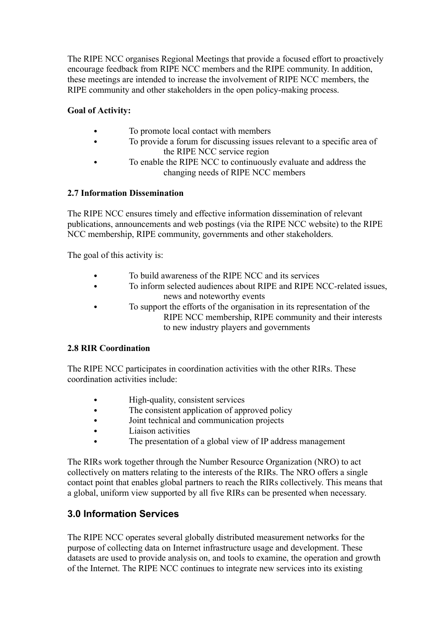The RIPE NCC organises Regional Meetings that provide a focused effort to proactively encourage feedback from RIPE NCC members and the RIPE community. In addition, these meetings are intended to increase the involvement of RIPE NCC members, the RIPE community and other stakeholders in the open policy-making process.

# **Goal of Activity:**

- To promote local contact with members
- To provide a forum for discussing issues relevant to a specific area of the RIPE NCC service region
- To enable the RIPE NCC to continuously evaluate and address the changing needs of RIPE NCC members

## **2.7 Information Dissemination**

The RIPE NCC ensures timely and effective information dissemination of relevant publications, announcements and web postings (via the RIPE NCC website) to the RIPE NCC membership, RIPE community, governments and other stakeholders.

The goal of this activity is:

- To build awareness of the RIPE NCC and its services
- To inform selected audiences about RIPE and RIPE NCC-related issues, news and noteworthy events
- To support the efforts of the organisation in its representation of the RIPE NCC membership, RIPE community and their interests to new industry players and governments

## **2.8 RIR Coordination**

The RIPE NCC participates in coordination activities with the other RIRs. These coordination activities include:

- High-quality, consistent services
- The consistent application of approved policy
- Joint technical and communication projects
- Liaison activities
- The presentation of a global view of IP address management

The RIRs work together through the Number Resource Organization (NRO) to act collectively on matters relating to the interests of the RIRs. The NRO offers a single contact point that enables global partners to reach the RIRs collectively. This means that a global, uniform view supported by all five RIRs can be presented when necessary.

# **3.0 Information Services**

The RIPE NCC operates several globally distributed measurement networks for the purpose of collecting data on Internet infrastructure usage and development. These datasets are used to provide analysis on, and tools to examine, the operation and growth of the Internet. The RIPE NCC continues to integrate new services into its existing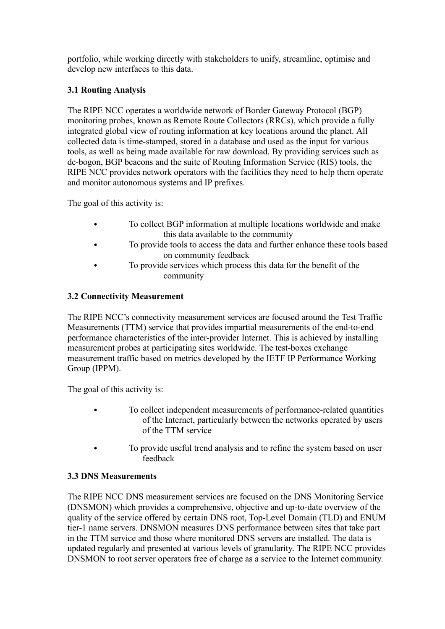portfolio, while working directly with stakeholders to unify, streamline, optimise and develop new interfaces to this data.

# **3.1 Routing Analysis**

The RIPE NCC operates a worldwide network of Border Gateway Protocol (BGP) monitoring probes, known as Remote Route Collectors (RRCs), which provide a fully integrated global view of routing information at key locations around the planet. All collected data is time-stamped, stored in a database and used as the input for various tools, as well as being made available for raw download. By providing services such as de-bogon, BGP beacons and the suite of Routing Information Service (RIS) tools, the RIPE NCC provides network operators with the facilities they need to help them operate and monitor autonomous systems and IP prefixes.

The goal of this activity is:

- To collect BGP information at multiple locations worldwide and make this data available to the community
- To provide tools to access the data and further enhance these tools based on community feedback
- To provide services which process this data for the benefit of the community

# **3.2 Connectivity Measurement**

The RIPE NCC's connectivity measurement services are focused around the Test Traffic Measurements (TTM) service that provides impartial measurements of the end-to-end performance characteristics of the inter-provider Internet. This is achieved by installing measurement probes at participating sites worldwide. The test-boxes exchange measurement traffic based on metrics developed by the IETF IP Performance Working Group (IPPM).

The goal of this activity is:

- To collect independent measurements of performance-related quantities of the Internet, particularly between the networks operated by users of the TTM service
- To provide useful trend analysis and to refine the system based on user feedback

# **3.3 DNS Measurements**

The RIPE NCC DNS measurement services are focused on the DNS Monitoring Service (DNSMON) which provides a comprehensive, objective and up-to-date overview of the quality of the service offered by certain DNS root, Top-Level Domain (TLD) and ENUM tier-1 name servers. DNSMON measures DNS performance between sites that take part in the TTM service and those where monitored DNS servers are installed. The data is updated regularly and presented at various levels of granularity. The RIPE NCC provides DNSMON to root server operators free of charge as a service to the Internet community.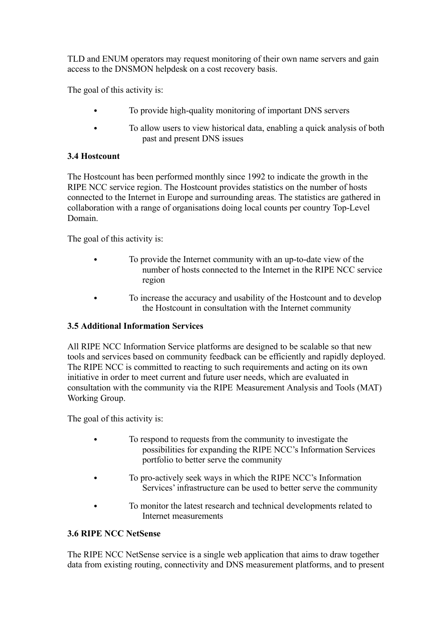TLD and ENUM operators may request monitoring of their own name servers and gain access to the DNSMON helpdesk on a cost recovery basis.

The goal of this activity is:

- To provide high-quality monitoring of important DNS servers
- To allow users to view historical data, enabling a quick analysis of both past and present DNS issues

# **3.4 Hostcount**

The Hostcount has been performed monthly since 1992 to indicate the growth in the RIPE NCC service region. The Hostcount provides statistics on the number of hosts connected to the Internet in Europe and surrounding areas. The statistics are gathered in collaboration with a range of organisations doing local counts per country Top-Level Domain.

The goal of this activity is:

- To provide the Internet community with an up-to-date view of the number of hosts connected to the Internet in the RIPE NCC service region
- To increase the accuracy and usability of the Hostcount and to develop the Hostcount in consultation with the Internet community

# **3.5 Additional Information Services**

All RIPE NCC Information Service platforms are designed to be scalable so that new tools and services based on community feedback can be efficiently and rapidly deployed. The RIPE NCC is committed to reacting to such requirements and acting on its own initiative in order to meet current and future user needs, which are evaluated in consultation with the community via the RIPE Measurement Analysis and Tools (MAT) Working Group.

The goal of this activity is:

- To respond to requests from the community to investigate the possibilities for expanding the RIPE NCC's Information Services portfolio to better serve the community
- To pro-actively seek ways in which the RIPE NCC's Information Services' infrastructure can be used to better serve the community
- To monitor the latest research and technical developments related to Internet measurements

## **3.6 RIPE NCC NetSense**

The RIPE NCC NetSense service is a single web application that aims to draw together data from existing routing, connectivity and DNS measurement platforms, and to present